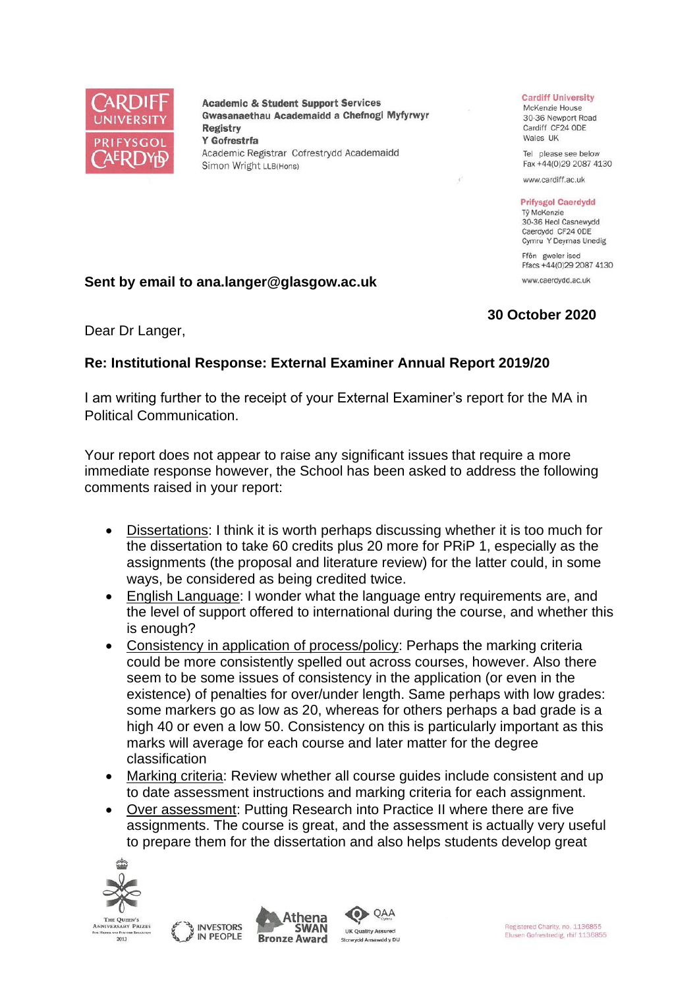

**Academic & Student Support Services** Gwasanaethau Academaidd a Chefnogi Myfyrwyr **Registry** Y Gofrestrfa Academic Registrar Cofrestrydd Academaidd Simon Wright LLB(Hons)

#### **Cardiff University**

McKenzie House 30-36 Newport Road Cardiff CF24 ODE Wales UK

Tel please see below Fax +44(0)29 2087 4130

www.cardiff.ac.uk

#### **Prifysgol Caerdydd**

Tỷ McKenzie 30-36 Heol Casnewydd Caerdydd CF24 ODE Cymru Y Deyrnas Unedig

Ffôn gweler isod Ffacs +44(0)29 2087 4130 www.caerdydd.ac.uk

# **Sent by email to ana.langer@glasgow.ac.uk**

### **30 October 2020**

Dear Dr Langer,

# **Re: Institutional Response: External Examiner Annual Report 2019/20**

I am writing further to the receipt of your External Examiner's report for the MA in Political Communication.

Your report does not appear to raise any significant issues that require a more immediate response however, the School has been asked to address the following comments raised in your report:

- Dissertations: I think it is worth perhaps discussing whether it is too much for the dissertation to take 60 credits plus 20 more for PRiP 1, especially as the assignments (the proposal and literature review) for the latter could, in some ways, be considered as being credited twice.
- English Language: I wonder what the language entry requirements are, and the level of support offered to international during the course, and whether this is enough?
- Consistency in application of process/policy: Perhaps the marking criteria could be more consistently spelled out across courses, however. Also there seem to be some issues of consistency in the application (or even in the existence) of penalties for over/under length. Same perhaps with low grades: some markers go as low as 20, whereas for others perhaps a bad grade is a high 40 or even a low 50. Consistency on this is particularly important as this marks will average for each course and later matter for the degree classification
- Marking criteria: Review whether all course guides include consistent and up to date assessment instructions and marking criteria for each assignment.
- Over assessment: Putting Research into Practice II where there are five assignments. The course is great, and the assessment is actually very useful to prepare them for the dissertation and also helps students develop great